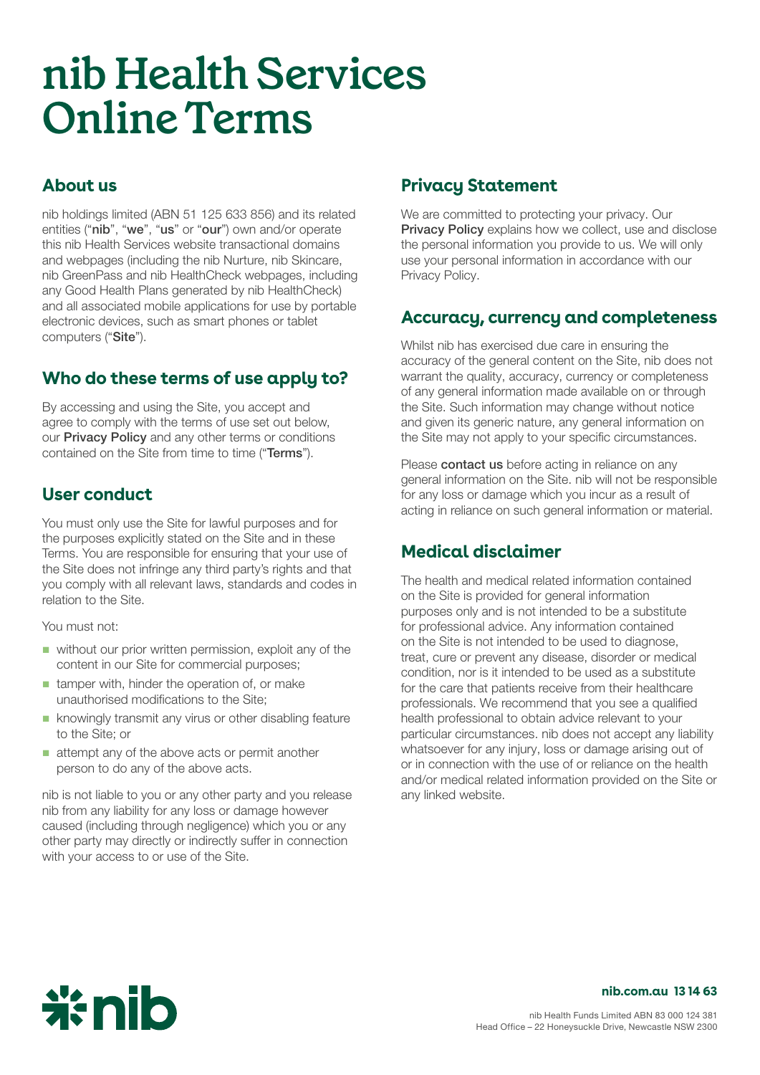# **nib Health Services Online Terms**

#### **About us**

nib holdings limited (ABN 51 125 633 856) and its related entities ("nib", "we", "us" or "our") own and/or operate this nib Health Services website transactional domains and webpages (including the nib Nurture, nib Skincare, nib GreenPass and nib HealthCheck webpages, including any Good Health Plans generated by nib HealthCheck) and all associated mobile applications for use by portable electronic devices, such as smart phones or tablet computers ("Site").

## **Who do these terms of use apply to?**

By accessing and using the Site, you accept and agree to comply with the terms of use set out below, our **[Privacy Policy](https://www.nib.com.au/docs/privacy-policy)** and any other terms or conditions contained on the Site from time to time ("Terms").

#### **User conduct**

You must only use the Site for lawful purposes and for the purposes explicitly stated on the Site and in these Terms. You are responsible for ensuring that your use of the Site does not infringe any third party's rights and that you comply with all relevant laws, standards and codes in relation to the Site.

You must not:

- $\blacksquare$  without our prior written permission, exploit any of the content in our Site for commercial purposes;
- $\blacksquare$  tamper with, hinder the operation of, or make unauthorised modifications to the Site;
- knowingly transmit any virus or other disabling feature to the Site; or
- **E** attempt any of the above acts or permit another person to do any of the above acts.

nib is not liable to you or any other party and you release nib from any liability for any loss or damage however caused (including through negligence) which you or any other party may directly or indirectly suffer in connection with your access to or use of the Site.

#### **Privacy Statement**

We are committed to protecting your privacy. Our **[Privacy Policy](https://www.nib.com.au/docs/privacy-policy)** explains how we collect, use and disclose the personal information you provide to us. We will only use your personal information in accordance with our Privacy Policy.

#### **Accuracy, currency and completeness**

Whilst nib has exercised due care in ensuring the accuracy of the general content on the Site, nib does not warrant the quality, accuracy, currency or completeness of any general information made available on or through the Site. Such information may change without notice and given its generic nature, any general information on the Site may not apply to your specific circumstances.

Please **[contact us](https://www.nib.com.au/contact-us)** before acting in reliance on any general information on the Site. nib will not be responsible for any loss or damage which you incur as a result of acting in reliance on such general information or material.

#### **Medical disclaimer**

The health and medical related information contained on the Site is provided for general information purposes only and is not intended to be a substitute for professional advice. Any information contained on the Site is not intended to be used to diagnose, treat, cure or prevent any disease, disorder or medical condition, nor is it intended to be used as a substitute for the care that patients receive from their healthcare professionals. We recommend that you see a qualified health professional to obtain advice relevant to your particular circumstances. nib does not accept any liability whatsoever for any injury, loss or damage arising out of or in connection with the use of or reliance on the health and/or medical related information provided on the Site or any linked website.



#### **[nib . com . au](http://www.nib.com.au) [13 14 63](tel:131463)**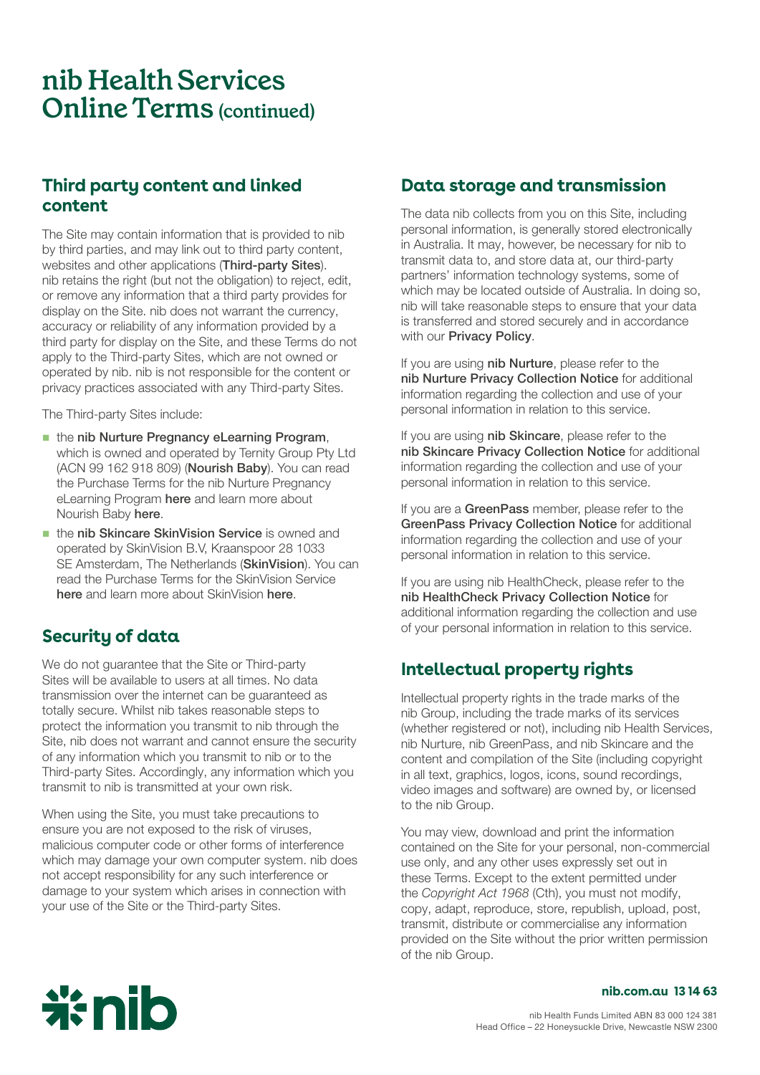## **nib Health Services Online Terms (continued)**

#### **Third party content and linked content**

The Site may contain information that is provided to nib by third parties, and may link out to third party content, websites and other applications (Third-party Sites). nib retains the right (but not the obligation) to reject, edit, or remove any information that a third party provides for display on the Site. nib does not warrant the currency, accuracy or reliability of any information provided by a third party for display on the Site, and these Terms do not apply to the Third-party Sites, which are not owned or operated by nib. nib is not responsible for the content or privacy practices associated with any Third-party Sites.

The Third-party Sites include:

- the nib Nurture Pregnancy eLearning Program, which is owned and operated by Ternity Group Pty Ltd (ACN 99 162 918 809) (Nourish Baby). You can read the Purchase Terms for the nib Nurture Pregnancy eLearning Program [here](https://www.nib.com.au/docs/nib-nurture-pregnancy-elearning-purchase-terms) and learn more about Nourish Baby [here](https://urldefense.com/v3/__https://www.nib.com.au/health-services/nurture/products/pregnancy-elearning/*where-from__;Iw!!KoGOJA!1nBTMLm2PSxnMcNGCLCF6hcFsXrhNoc8f4u04DKSNfgf0hh8Wj2SNNo-Ri7dIe693IWFf7x6lJti8VFHQxu-_t5LZG20$).
- the nib Skincare SkinVision Service is owned and operated by SkinVision B.V, Kraanspoor 28 1033 SE Amsterdam, The Netherlands (SkinVision). You can read the Purchase Terms for the SkinVision Service [here](https://www.nib.com.au/health-services/skincare/skinvision) and learn more about SkinVision here.

## **Security of data**

We do not guarantee that the Site or Third-party Sites will be available to users at all times. No data transmission over the internet can be guaranteed as totally secure. Whilst nib takes reasonable steps to protect the information you transmit to nib through the Site, nib does not warrant and cannot ensure the security of any information which you transmit to nib or to the Third-party Sites. Accordingly, any information which you transmit to nib is transmitted at your own risk.

When using the Site, you must take precautions to ensure you are not exposed to the risk of viruses, malicious computer code or other forms of interference which may damage your own computer system. nib does not accept responsibility for any such interference or damage to your system which arises in connection with your use of the Site or the Third-party Sites.

#### **Data storage and transmission**

The data nib collects from you on this Site, including personal information, is generally stored electronically in Australia. It may, however, be necessary for nib to transmit data to, and store data at, our third-party partners' information technology systems, some of which may be located outside of Australia. In doing so, nib will take reasonable steps to ensure that your data is transferred and stored securely and in accordance with our **[Privacy Policy](https://www.nib.com.au/docs/privacy-policy).** 

If you are using nib Nurture, please refer to the [nib Nurture Privacy Collection Notice](https://www.nib.com.au/docs/nib-nurture-pregnancy-elearning-privacy-collection-notice) for additional information regarding the collection and use of your personal information in relation to this service.

If you are using nib Skincare, please refer to the [nib Skincare Privacy Collection Notice](https://urldefense.com/v3/__https://www.nib.com.au/docs/nib-skincare-privacy-collection-notice__;!!KoGOJA!1nBTMLm2PSxnMcNGCLCF6hcFsXrhNoc8f4u04DKSNfgf0hh8Wj2SNNo-Ri7dIe693IWFf7x6lJti8VFHQxu-_tsM5nuY$) for additional information regarding the collection and use of your personal information in relation to this service.

If you are a GreenPass member, please refer to the [GreenPass Privacy Collection Notice](https://www.nib.com.au/docs/greenpass-privacy-collection-notice) for additional information regarding the collection and use of your personal information in relation to this service.

If you are using nib HealthCheck, please refer to the [nib HealthCheck Privacy Collection Notice](https://www.nib.com.au/docs/healthcheck-privacy-collection-notice) for additional information regarding the collection and use of your personal information in relation to this service.

## **Intellectual property rights**

Intellectual property rights in the trade marks of the nib Group, including the trade marks of its services (whether registered or not), including nib Health Services, nib Nurture, nib GreenPass, and nib Skincare and the content and compilation of the Site (including copyright in all text, graphics, logos, icons, sound recordings, video images and software) are owned by, or licensed to the nib Group.

You may view, download and print the information contained on the Site for your personal, non-commercial use only, and any other uses expressly set out in these Terms. Except to the extent permitted under the Copyright Act 1968 (Cth), you must not modify, copy, adapt, reproduce, store, republish, upload, post, transmit, distribute or commercialise any information provided on the Site without the prior written permission of the nib Group.



#### **nib . com . au 13 14 63**